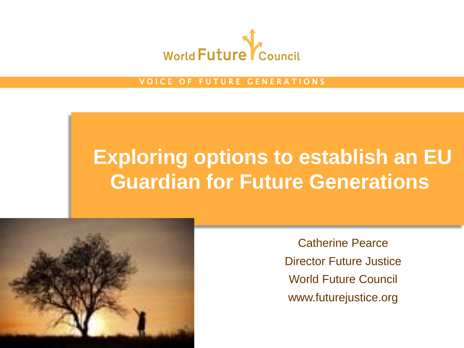

VOICE OF FUTURE GENERATIONS

# **Exploring options to establish an EU Guardian for Future Generations**



Catherine Pearce Director Future Justice World Future Council www.futurejustice.org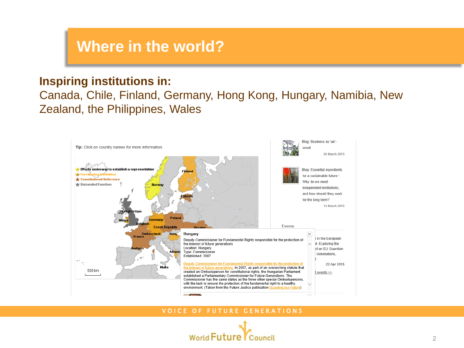### **Where in the world?**

#### **Inspiring institutions in:**

Canada, Chile, Finland, Germany, Hong Kong, Hungary, Namibia, New Zealand, the Philippines, Wales



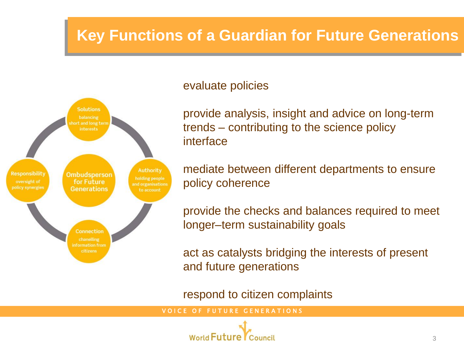## **Key Functions of a Guardian for Future Generations**



#### evaluate policies

provide analysis, insight and advice on long-term trends – contributing to the science policy interface

mediate between different departments to ensure policy coherence

provide the checks and balances required to meet longer–term sustainability goals

act as catalysts bridging the interests of present and future generations

respond to citizen complaints

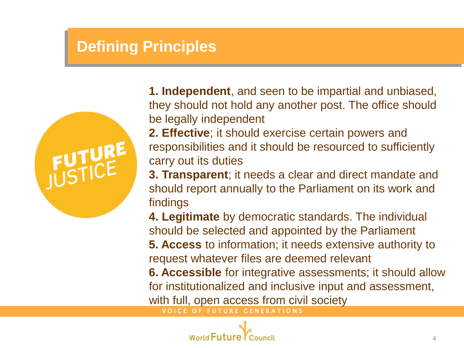### **Defining Principles**



**1. Independent**, and seen to be impartial and unbiased, they should not hold any another post. The office should be legally independent

**2. Effective**; it should exercise certain powers and responsibilities and it should be resourced to sufficiently carry out its duties

**3. Transparent**; it needs a clear and direct mandate and should report annually to the Parliament on its work and findings

**4. Legitimate** by democratic standards. The individual should be selected and appointed by the Parliament **5. Access** to information; it needs extensive authority to request whatever files are deemed relevant

**6. Accessible** for integrative assessments; it should allow for institutionalized and inclusive input and assessment, with full, open access from civil society

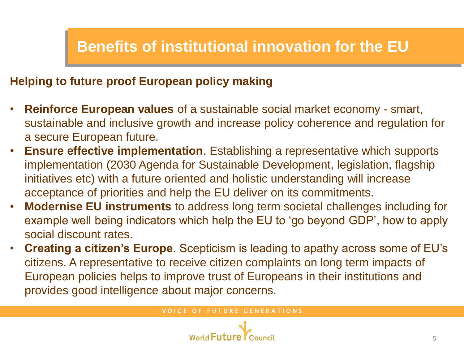### **Benefits of institutional innovation for the EU**

### **Helping to future proof European policy making**

- **Reinforce European values** of a sustainable social market economy smart, sustainable and inclusive growth and increase policy coherence and regulation for a secure European future.
- **Ensure effective implementation**. Establishing a representative which supports implementation (2030 Agenda for Sustainable Development, legislation, flagship initiatives etc) with a future oriented and holistic understanding will increase acceptance of priorities and help the EU deliver on its commitments.
- **Modernise EU instruments** to address long term societal challenges including for example well being indicators which help the EU to 'go beyond GDP', how to apply social discount rates.
- **Creating a citizen's Europe**. Scepticism is leading to apathy across some of EU's citizens. A representative to receive citizen complaints on long term impacts of European policies helps to improve trust of Europeans in their institutions and provides good intelligence about major concerns.

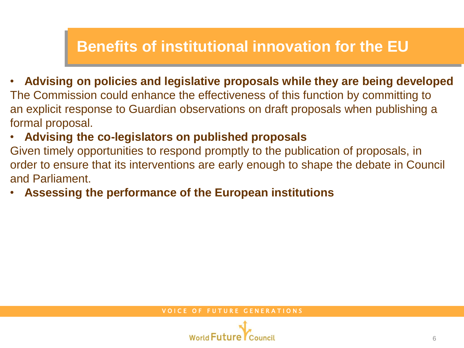### **Benefits of institutional innovation for the EU**

- **Advising on policies and legislative proposals while they are being developed** The Commission could enhance the effectiveness of this function by committing to an explicit response to Guardian observations on draft proposals when publishing a formal proposal.
- **Advising the co-legislators on published proposals**

Given timely opportunities to respond promptly to the publication of proposals, in order to ensure that its interventions are early enough to shape the debate in Council and Parliament.

• **Assessing the performance of the European institutions**

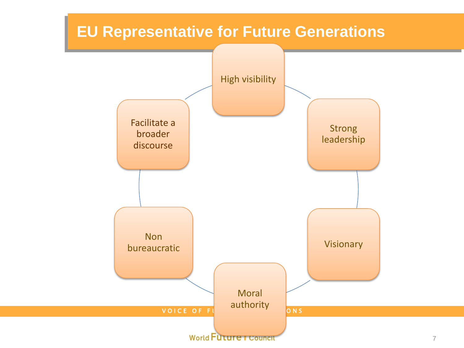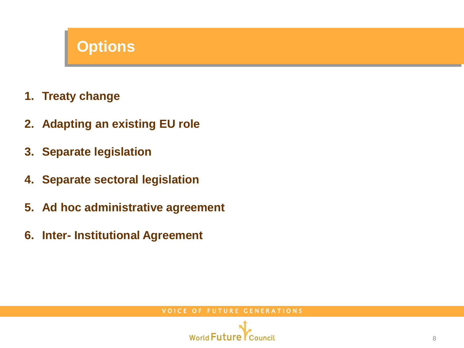### **Options**

- **1. Treaty change**
- **2. Adapting an existing EU role**
- **3. Separate legislation**
- **4. Separate sectoral legislation**
- **5. Ad hoc administrative agreement**
- **6. Inter- Institutional Agreement**

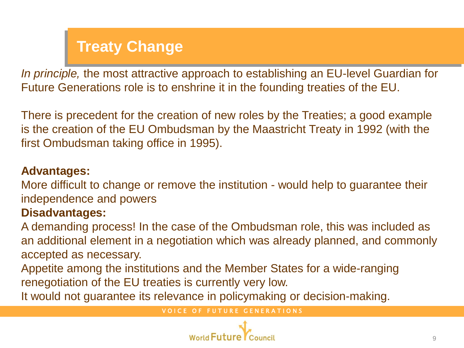## **Treaty Change**

*In principle,* the most attractive approach to establishing an EU-level Guardian for Future Generations role is to enshrine it in the founding treaties of the EU.

There is precedent for the creation of new roles by the Treaties; a good example is the creation of the EU Ombudsman by the Maastricht Treaty in 1992 (with the first Ombudsman taking office in 1995).

#### **Advantages:**

More difficult to change or remove the institution - would help to guarantee their independence and powers

### **Disadvantages:**

A demanding process! In the case of the Ombudsman role, this was included as an additional element in a negotiation which was already planned, and commonly accepted as necessary.

Appetite among the institutions and the Member States for a wide-ranging renegotiation of the EU treaties is currently very low.

It would not guarantee its relevance in policymaking or decision-making.

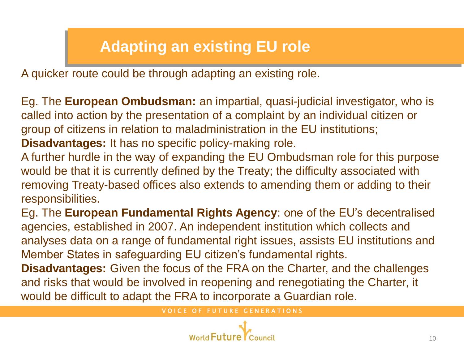## **Adapting an existing EU role**

A quicker route could be through adapting an existing role.

Eg. The **European Ombudsman:** an impartial, quasi-judicial investigator, who is called into action by the presentation of a complaint by an individual citizen or group of citizens in relation to maladministration in the EU institutions; **Disadvantages:** It has no specific policy-making role.

A further hurdle in the way of expanding the EU Ombudsman role for this purpose would be that it is currently defined by the Treaty; the difficulty associated with removing Treaty-based offices also extends to amending them or adding to their responsibilities.

Eg. The **European Fundamental Rights Agency**: one of the EU's decentralised agencies, established in 2007. An independent institution which collects and analyses data on a range of fundamental right issues, assists EU institutions and Member States in safeguarding EU citizen's fundamental rights.

**Disadvantages:** Given the focus of the FRA on the Charter, and the challenges and risks that would be involved in reopening and renegotiating the Charter, it would be difficult to adapt the FRA to incorporate a Guardian role.

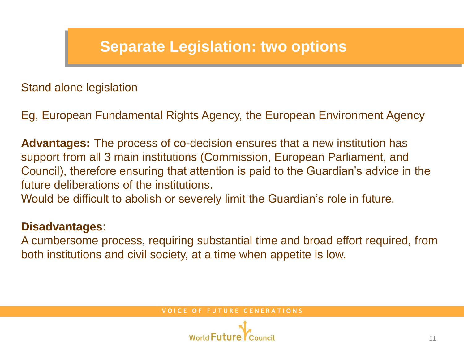### **Separate Legislation: two options**

Stand alone legislation

Eg, European Fundamental Rights Agency, the European Environment Agency

**Advantages:** The process of co-decision ensures that a new institution has support from all 3 main institutions (Commission, European Parliament, and Council), therefore ensuring that attention is paid to the Guardian's advice in the future deliberations of the institutions.

Would be difficult to abolish or severely limit the Guardian's role in future.

#### **Disadvantages**:

A cumbersome process, requiring substantial time and broad effort required, from both institutions and civil society, at a time when appetite is low.

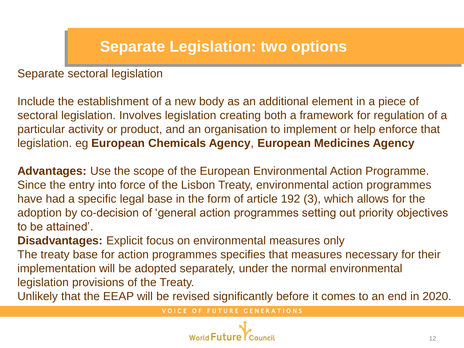## **Separate Legislation: two options**

Separate sectoral legislation

Include the establishment of a new body as an additional element in a piece of sectoral legislation. Involves legislation creating both a framework for regulation of a particular activity or product, and an organisation to implement or help enforce that legislation. eg **European Chemicals Agency**, **European Medicines Agency**

**Advantages:** Use the scope of the European Environmental Action Programme. Since the entry into force of the Lisbon Treaty, environmental action programmes have had a specific legal base in the form of article 192 (3), which allows for the adoption by co-decision of 'general action programmes setting out priority objectives to be attained'.

**Disadvantages:** Explicit focus on environmental measures only

The treaty base for action programmes specifies that measures necessary for their implementation will be adopted separately, under the normal environmental legislation provisions of the Treaty.

Unlikely that the EEAP will be revised significantly before it comes to an end in 2020.

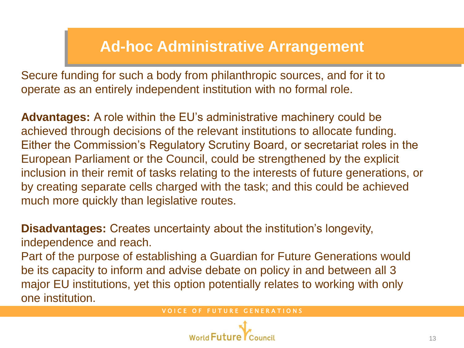### **Ad-hoc Administrative Arrangement**

Secure funding for such a body from philanthropic sources, and for it to operate as an entirely independent institution with no formal role.

**Advantages:** A role within the EU's administrative machinery could be achieved through decisions of the relevant institutions to allocate funding. Either the Commission's Regulatory Scrutiny Board, or secretariat roles in the European Parliament or the Council, could be strengthened by the explicit inclusion in their remit of tasks relating to the interests of future generations, or by creating separate cells charged with the task; and this could be achieved much more quickly than legislative routes.

**Disadvantages:** Creates uncertainty about the institution's longevity, independence and reach.

Part of the purpose of establishing a Guardian for Future Generations would be its capacity to inform and advise debate on policy in and between all 3 major EU institutions, yet this option potentially relates to working with only one institution.

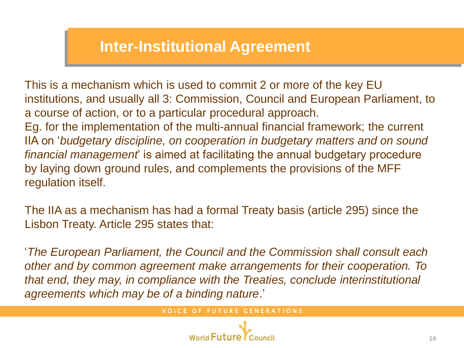### **Inter-Institutional Agreement**

This is a mechanism which is used to commit 2 or more of the key EU institutions, and usually all 3: Commission, Council and European Parliament, to a course of action, or to a particular procedural approach. Eg. for the implementation of the multi-annual financial framework; the current IIA on '*budgetary discipline, on cooperation in budgetary matters and on sound financial management*' is aimed at facilitating the annual budgetary procedure by laying down ground rules, and complements the provisions of the MFF regulation itself.

The IIA as a mechanism has had a formal Treaty basis (article 295) since the Lisbon Treaty. Article 295 states that:

'*The European Parliament, the Council and the Commission shall consult each other and by common agreement make arrangements for their cooperation. To that end, they may, in compliance with the Treaties, conclude interinstitutional agreements which may be of a binding nature*.'

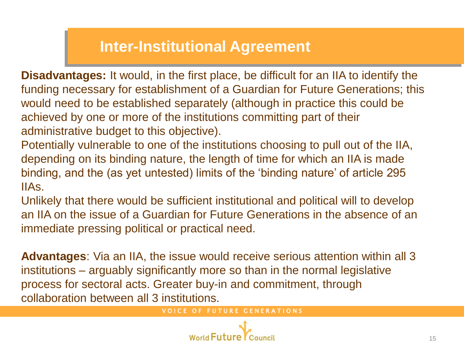### **Inter-Institutional Agreement**

**Disadvantages:** It would, in the first place, be difficult for an IIA to identify the funding necessary for establishment of a Guardian for Future Generations; this would need to be established separately (although in practice this could be achieved by one or more of the institutions committing part of their administrative budget to this objective).

Potentially vulnerable to one of the institutions choosing to pull out of the IIA, depending on its binding nature, the length of time for which an IIA is made binding, and the (as yet untested) limits of the 'binding nature' of article 295 IIAs.

Unlikely that there would be sufficient institutional and political will to develop an IIA on the issue of a Guardian for Future Generations in the absence of an immediate pressing political or practical need.

**Advantages**: Via an IIA, the issue would receive serious attention within all 3 institutions – arguably significantly more so than in the normal legislative process for sectoral acts. Greater buy-in and commitment, through collaboration between all 3 institutions.

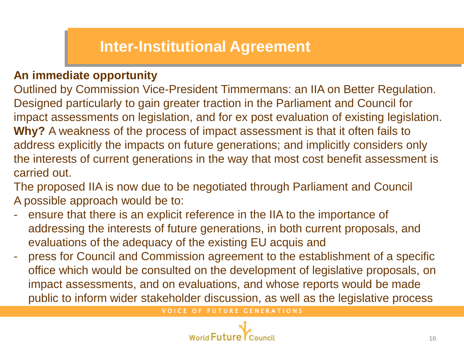### **Inter-Institutional Agreement**

### **An immediate opportunity**

Outlined by Commission Vice-President Timmermans: an IIA on Better Regulation. Designed particularly to gain greater traction in the Parliament and Council for impact assessments on legislation, and for ex post evaluation of existing legislation. **Why?** A weakness of the process of impact assessment is that it often fails to address explicitly the impacts on future generations; and implicitly considers only the interests of current generations in the way that most cost benefit assessment is carried out.

The proposed IIA is now due to be negotiated through Parliament and Council A possible approach would be to:

- ensure that there is an explicit reference in the IIA to the importance of addressing the interests of future generations, in both current proposals, and evaluations of the adequacy of the existing EU acquis and
- press for Council and Commission agreement to the establishment of a specific office which would be consulted on the development of legislative proposals, on impact assessments, and on evaluations, and whose reports would be made public to inform wider stakeholder discussion, as well as the legislative process

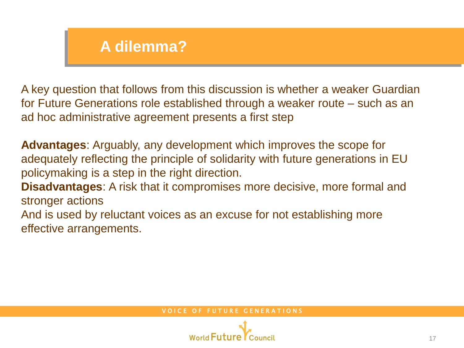### **A dilemma?**

A key question that follows from this discussion is whether a weaker Guardian for Future Generations role established through a weaker route – such as an ad hoc administrative agreement presents a first step

**Advantages**: Arguably, any development which improves the scope for adequately reflecting the principle of solidarity with future generations in EU policymaking is a step in the right direction. **Disadvantages**: A risk that it compromises more decisive, more formal and stronger actions And is used by reluctant voices as an excuse for not establishing more

effective arrangements.

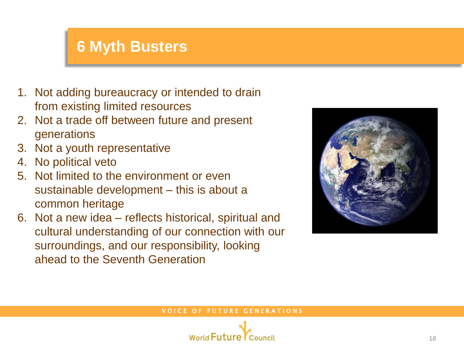### **6 Myth Busters**

- 1. Not adding bureaucracy or intended to drain from existing limited resources
- 2. Not a trade off between future and present generations
- 3. Not a youth representative
- 4. No political veto
- 5. Not limited to the environment or even sustainable development – this is about a common heritage
- 6. Not a new idea reflects historical, spiritual and cultural understanding of our connection with our surroundings, and our responsibility, looking ahead to the Seventh Generation



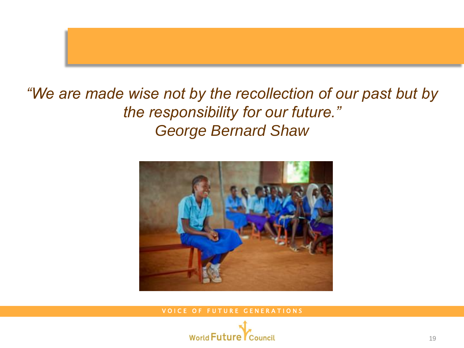

### *"We are made wise not by the recollection of our past but by the responsibility for our future." George Bernard Shaw*